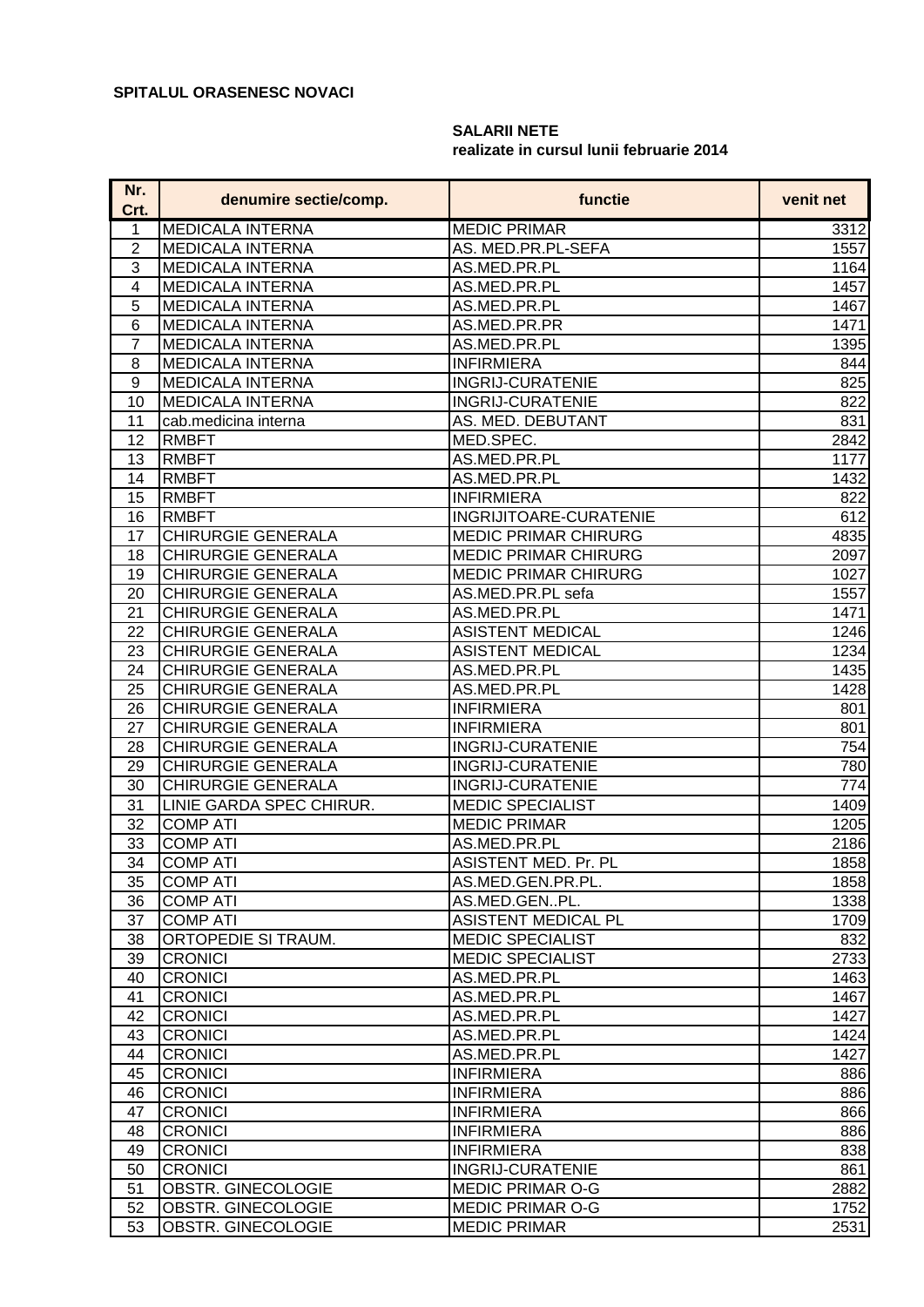## **SALARII NETE realizate in cursul lunii februarie 2014**

| Nr.<br>Crt.    | denumire sectie/comp.     | functie                     | venit net |
|----------------|---------------------------|-----------------------------|-----------|
| 1              | <b>MEDICALA INTERNA</b>   | <b>MEDIC PRIMAR</b>         | 3312      |
| $\overline{2}$ | <b>MEDICALA INTERNA</b>   | AS. MED.PR.PL-SEFA          | 1557      |
| $\overline{3}$ | <b>MEDICALA INTERNA</b>   | AS.MED.PR.PL                | 1164      |
| 4              | <b>MEDICALA INTERNA</b>   | AS.MED.PR.PL                | 1457      |
| 5              | <b>MEDICALA INTERNA</b>   | AS.MED.PR.PL                | 1467      |
| 6              | <b>MEDICALA INTERNA</b>   | AS.MED.PR.PR                | 1471      |
| 7              | <b>MEDICALA INTERNA</b>   | AS.MED.PR.PL                | 1395      |
| 8              | <b>MEDICALA INTERNA</b>   | <b>INFIRMIERA</b>           | 844       |
| 9              | <b>MEDICALA INTERNA</b>   | <b>INGRIJ-CURATENIE</b>     | 825       |
| 10             | <b>MEDICALA INTERNA</b>   | <b>INGRIJ-CURATENIE</b>     | 822       |
| 11             | cab.medicina interna      | AS. MED. DEBUTANT           | 831       |
| 12             | <b>RMBFT</b>              | MED.SPEC.                   | 2842      |
| 13             | <b>RMBFT</b>              | AS.MED.PR.PL                | 1177      |
| 14             | <b>RMBFT</b>              | AS.MED.PR.PL                | 1432      |
| 15             | <b>RMBFT</b>              | <b>INFIRMIERA</b>           | 822       |
| 16             | <b>RMBFT</b>              | INGRIJITOARE-CURATENIE      | 612       |
| 17             | <b>CHIRURGIE GENERALA</b> | <b>MEDIC PRIMAR CHIRURG</b> | 4835      |
| 18             | <b>CHIRURGIE GENERALA</b> | <b>MEDIC PRIMAR CHIRURG</b> | 2097      |
| 19             | <b>CHIRURGIE GENERALA</b> | <b>MEDIC PRIMAR CHIRURG</b> | 1027      |
| 20             | <b>CHIRURGIE GENERALA</b> | AS.MED.PR.PL sefa           | 1557      |
| 21             | <b>CHIRURGIE GENERALA</b> | AS.MED.PR.PL                | 1471      |
| 22             | <b>CHIRURGIE GENERALA</b> | <b>ASISTENT MEDICAL</b>     | 1246      |
| 23             | <b>CHIRURGIE GENERALA</b> | <b>ASISTENT MEDICAL</b>     | 1234      |
| 24             | CHIRURGIE GENERALA        | AS.MED.PR.PL                | 1435      |
| 25             | CHIRURGIE GENERALA        | AS.MED.PR.PL                | 1428      |
| 26             | <b>CHIRURGIE GENERALA</b> | <b>INFIRMIERA</b>           | 801       |
| 27             | <b>CHIRURGIE GENERALA</b> | <b>INFIRMIERA</b>           | 801       |
| 28             | <b>CHIRURGIE GENERALA</b> | <b>INGRIJ-CURATENIE</b>     | 754       |
| 29             | <b>CHIRURGIE GENERALA</b> | <b>INGRIJ-CURATENIE</b>     | 780       |
| 30             | <b>CHIRURGIE GENERALA</b> | <b>INGRIJ-CURATENIE</b>     | 774       |
| 31             | LINIE GARDA SPEC CHIRUR.  | <b>MEDIC SPECIALIST</b>     | 1409      |
| 32             | <b>COMP ATI</b>           | <b>MEDIC PRIMAR</b>         | 1205      |
| 33             | <b>COMP ATI</b>           | AS.MED.PR.PL                | 2186      |
| 34             | <b>COMP ATI</b>           | ASISTENT MED. Pr. PL        | 1858      |
| 35             | <b>COMP ATI</b>           | AS.MED.GEN.PR.PL.           | 1858      |
| 36             | <b>COMP ATI</b>           | AS.MED.GENPL.               | 1338      |
| 37             | <b>COMP ATI</b>           | ASISTENT MEDICAL PL         | 1709      |
| 38             | ORTOPEDIE SI TRAUM.       | <b>MEDIC SPECIALIST</b>     | 832       |
| 39             | <b>CRONICI</b>            | <b>MEDIC SPECIALIST</b>     | 2733      |
| 40             | <b>CRONICI</b>            | AS.MED.PR.PL                | 1463      |
| 41             | <b>CRONICI</b>            | AS.MED.PR.PL                | 1467      |
| 42             | <b>CRONICI</b>            | AS.MED.PR.PL                | 1427      |
| 43             | <b>CRONICI</b>            | AS.MED.PR.PL                | 1424      |
| 44             | <b>CRONICI</b>            | AS.MED.PR.PL                | 1427      |
| 45             | <b>CRONICI</b>            | <b>INFIRMIERA</b>           | 886       |
| 46             | <b>CRONICI</b>            | <b>INFIRMIERA</b>           | 886       |
| 47             | <b>CRONICI</b>            | <b>INFIRMIERA</b>           | 866       |
| 48             | <b>CRONICI</b>            | <b>INFIRMIERA</b>           | 886       |
| 49             | <b>CRONICI</b>            | <b>INFIRMIERA</b>           | 838       |
| 50             | <b>CRONICI</b>            | <b>INGRIJ-CURATENIE</b>     | 861       |
| 51             | OBSTR. GINECOLOGIE        | <b>MEDIC PRIMAR O-G</b>     | 2882      |
| 52             | OBSTR. GINECOLOGIE        | <b>MEDIC PRIMAR O-G</b>     | 1752      |
| 53             | OBSTR. GINECOLOGIE        | <b>MEDIC PRIMAR</b>         | 2531      |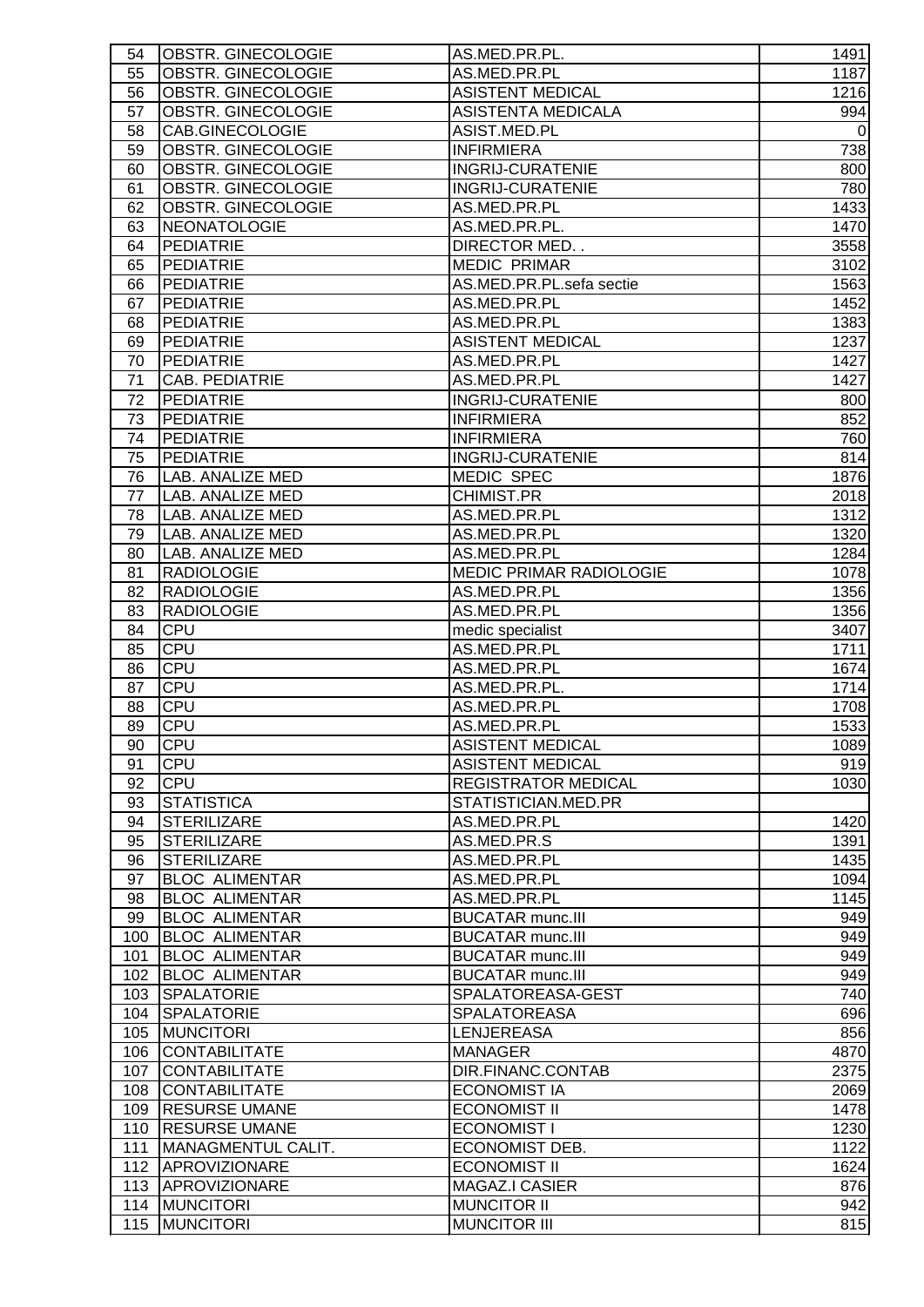| 54              | OBSTR. GINECOLOGIE        | AS.MED.PR.PL.              | 1491        |
|-----------------|---------------------------|----------------------------|-------------|
| 55              | OBSTR. GINECOLOGIE        | AS.MED.PR.PL               | 1187        |
| 56              | OBSTR. GINECOLOGIE        | <b>ASISTENT MEDICAL</b>    | 1216        |
| 57              | OBSTR. GINECOLOGIE        | ASISTENTA MEDICALA         | 994         |
| 58              | CAB.GINECOLOGIE           | ASIST.MED.PL               | $\mathbf 0$ |
| 59              | OBSTR. GINECOLOGIE        | <b>INFIRMIERA</b>          | 738         |
| 60              | OBSTR. GINECOLOGIE        | <b>INGRIJ-CURATENIE</b>    | 800         |
| 61              | OBSTR. GINECOLOGIE        | <b>INGRIJ-CURATENIE</b>    | 780         |
| 62              | OBSTR. GINECOLOGIE        | AS.MED.PR.PL               | 1433        |
| 63              | NEONATOLOGIE              | AS.MED.PR.PL.              | 1470        |
| 64              | <b>PEDIATRIE</b>          | DIRECTOR MED. .            | 3558        |
| 65              | <b>PEDIATRIE</b>          | <b>MEDIC PRIMAR</b>        | 3102        |
| 66              | <b>PEDIATRIE</b>          | AS.MED.PR.PL.sefa sectie   | 1563        |
| 67              | <b>PEDIATRIE</b>          | AS.MED.PR.PL               | 1452        |
| 68              | <b>PEDIATRIE</b>          | AS.MED.PR.PL               | 1383        |
| 69              | <b>PEDIATRIE</b>          | <b>ASISTENT MEDICAL</b>    | 1237        |
| 70              | <b>PEDIATRIE</b>          | AS.MED.PR.PL               | 1427        |
| 71              | <b>CAB. PEDIATRIE</b>     | AS.MED.PR.PL               | 1427        |
| 72              | <b>PEDIATRIE</b>          | <b>INGRIJ-CURATENIE</b>    | 800         |
| 73              | <b>PEDIATRIE</b>          | <b>INFIRMIERA</b>          | 852         |
| 74              | <b>PEDIATRIE</b>          | <b>INFIRMIERA</b>          | 760         |
| 75              | <b>PEDIATRIE</b>          | <b>INGRIJ-CURATENIE</b>    | 814         |
| 76              | LAB. ANALIZE MED          | <b>MEDIC SPEC</b>          | 1876        |
| 77              | LAB. ANALIZE MED          | <b>CHIMIST.PR</b>          | 2018        |
|                 | LAB. ANALIZE MED          |                            | 1312        |
| 78              |                           | AS.MED.PR.PL               |             |
| 79              | LAB. ANALIZE MED          | AS.MED.PR.PL               | 1320        |
| 80              | LAB. ANALIZE MED          | AS.MED.PR.PL               | 1284        |
| 81              | <b>RADIOLOGIE</b>         | MEDIC PRIMAR RADIOLOGIE    | 1078        |
| 82              | <b>RADIOLOGIE</b>         | AS.MED.PR.PL               | 1356        |
| 83              | <b>RADIOLOGIE</b>         | AS.MED.PR.PL               | 1356        |
| 84              | <b>CPU</b>                | medic specialist           | 3407        |
| 85              | <b>CPU</b>                | AS.MED.PR.PL               | 1711        |
| 86              | CPU                       | AS.MED.PR.PL               | 1674        |
| 87              | CPU                       | AS.MED.PR.PL.              | 1714        |
| 88              | CPU                       | AS.MED.PR.PL               | 1708        |
| 89              | CPU                       | AS.MED.PR.PL               | 1533        |
| $\overline{90}$ | <b>CPU</b>                | <b>ASISTENT MEDICAL</b>    | 1089        |
| 91              | <b>CPU</b>                | <b>ASISTENT MEDICAL</b>    | 919         |
| 92              | <b>CPU</b>                | <b>REGISTRATOR MEDICAL</b> | 1030        |
| 93              | <b>STATISTICA</b>         | STATISTICIAN.MED.PR        |             |
| 94              | <b>STERILIZARE</b>        | AS.MED.PR.PL               | 1420        |
| 95              | <b>STERILIZARE</b>        | AS.MED.PR.S                | 1391        |
| 96              | <b>STERILIZARE</b>        | AS.MED.PR.PL               | 1435        |
| 97              | <b>BLOC ALIMENTAR</b>     | AS.MED.PR.PL               | 1094        |
| 98              | <b>BLOC ALIMENTAR</b>     | AS.MED.PR.PL               | 1145        |
| 99              | <b>BLOC ALIMENTAR</b>     | <b>BUCATAR munc.III</b>    | 949         |
| 100             | <b>BLOC ALIMENTAR</b>     | <b>BUCATAR munc.III</b>    | 949         |
| 101             | <b>BLOC ALIMENTAR</b>     | <b>BUCATAR munc.III</b>    | 949         |
| 102             | <b>BLOC ALIMENTAR</b>     | <b>BUCATAR munc.III</b>    | 949         |
| 103             | <b>SPALATORIE</b>         | SPALATOREASA-GEST          | 740         |
| 104             | <b>SPALATORIE</b>         | <b>SPALATOREASA</b>        | 696         |
| 105             | <b>MUNCITORI</b>          | <b>LENJEREASA</b>          | 856         |
| 106             | <b>CONTABILITATE</b>      | <b>MANAGER</b>             | 4870        |
| 107             | <b>CONTABILITATE</b>      | DIR.FINANC.CONTAB          | 2375        |
| 108             | <b>CONTABILITATE</b>      | <b>ECONOMIST IA</b>        | 2069        |
| 109             | <b>RESURSE UMANE</b>      | <b>ECONOMIST II</b>        | 1478        |
| 110             | <b>RESURSE UMANE</b>      | <b>ECONOMIST I</b>         | 1230        |
| 111             | <b>MANAGMENTUL CALIT.</b> | ECONOMIST DEB.             | 1122        |
|                 | 112 APROVIZIONARE         | <b>ECONOMIST II</b>        | 1624        |
|                 | 113 APROVIZIONARE         | <b>MAGAZ.I CASIER</b>      | 876         |
| 114             | <b>MUNCITORI</b>          | <b>MUNCITOR II</b>         | 942         |
|                 |                           |                            |             |
| 115             | <b>MUNCITORI</b>          | <b>MUNCITOR III</b>        | 815         |